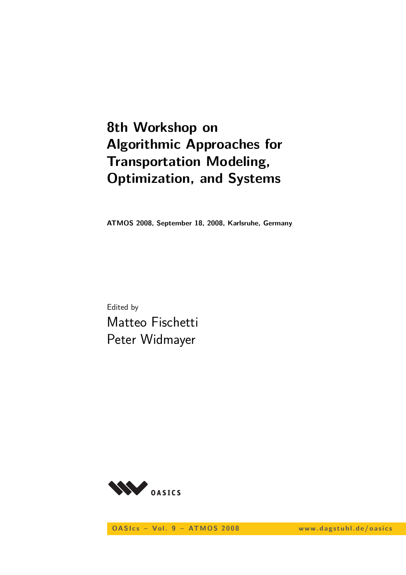# **8th Workshop on Algorithmic Approaches for Transportation Modeling, Optimization, and Systems**

**ATMOS 2008, September 18, 2008, Karlsruhe, Germany**

Edited by Matteo Fischetti Peter Widmayer



**OASIcs - Vol. 9 - ATMOS 2008** www.dagstuhl.de/oasics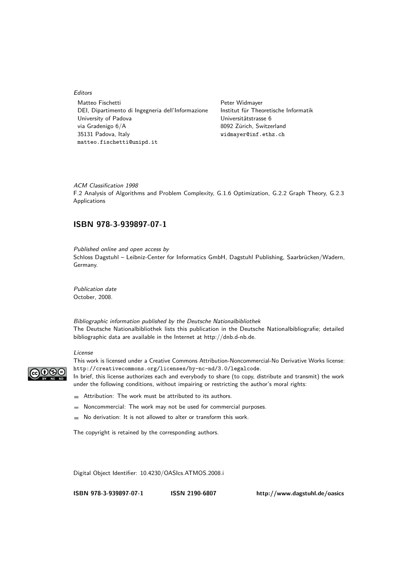#### Editors

Matteo Fischetti **Peter Widmayer** DEI, Dipartimento di Ingegneria dell'Informazione Institut für Theoretische Informatik University of Padova Universitätstrasse 6 via Gradenigo 6/A 8092 Zürich, Switzerland 35131 Padova, Italy widmayer@inf.ethz.ch matteo.fischetti@unipd.it

ACM Classification 1998 F.2 Analysis of Algorithms and Problem Complexity, G.1.6 Optimization, G.2.2 Graph Theory, G.2.3 Applications

### **ISBN 978-3-939897-07-1**

Published online and open access by Schloss Dagstuhl – Leibniz-Center for Informatics GmbH, Dagstuhl Publishing, Saarbrücken/Wadern, Germany.

Publication date October, 2008.

Bibliographic information published by the Deutsche Nationalbibliothek The Deutsche Nationalbibliothek lists this publication in the Deutsche Nationalbibliografie; detailed bibliographic data are available in the Internet at http://dnb.d-nb.de.

#### License



This work is licensed under a Creative Commons Attribution-Noncommercial-No Derivative Works license: http://creativecommons.org/licenses/by-nc-nd/3.0/legalcode.

In brief, this license authorizes each and everybody to share (to copy, distribute and transmit) the work under the following conditions, without impairing or restricting the author's moral rights:

- Attribution: The work must be attributed to its authors.
- Noncommercial: The work may not be used for commercial purposes. m.
- No derivation: It is not allowed to alter or transform this work.  $\mathcal{L}_{\mathcal{A}}$

The copyright is retained by the corresponding authors.

Digital Object Identifier: 10.4230/OASIcs.ATMOS.2008.i

**ISBN 978-3-939897-07-1 ISSN 2190-6807 http://www.dagstuhl.de/oasics**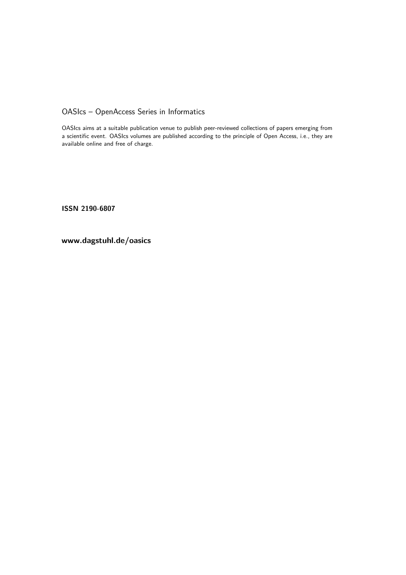OASIcs – OpenAccess Series in Informatics

OASIcs aims at a suitable publication venue to publish peer-reviewed collections of papers emerging from a scientific event. OASIcs volumes are published according to the principle of Open Access, i.e., they are available online and free of charge.

**ISSN 2190-6807**

**www.dagstuhl.de/oasics**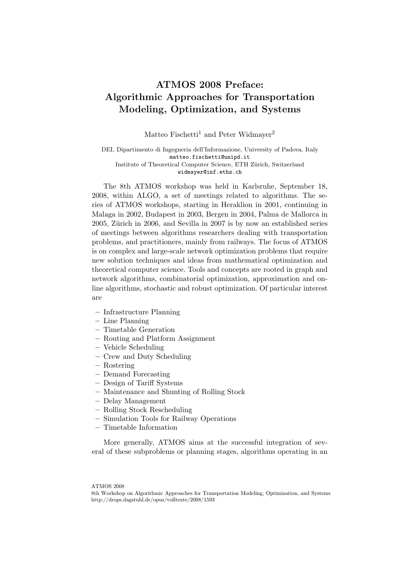## ATMOS 2008 Preface: Algorithmic Approaches for Transportation Modeling, Optimization, and Systems

Matteo Fischetti<sup>1</sup> and Peter Widmayer<sup>2</sup>

DEI, Dipartimento di Ingegneria dell'Informazione, University of Padova, Italy matteo.fischetti@unipd.it Institute of Theoretical Computer Science, ETH Zürich, Switzerland widmayer@inf.ethz.ch

The 8th ATMOS workshop was held in Karlsruhe, September 18, 2008, within ALGO, a set of meetings related to algorithms. The series of ATMOS workshops, starting in Heraklion in 2001, continuing in Malaga in 2002, Budapest in 2003, Bergen in 2004, Palma de Mallorca in 2005, Zürich in 2006, and Sevilla in 2007 is by now an established series of meetings between algorithms researchers dealing with transportation problems, and practitioners, mainly from railways. The focus of ATMOS is on complex and large-scale network optimization problems that require new solution techniques and ideas from mathematical optimization and theoretical computer science. Tools and concepts are rooted in graph and network algorithms, combinatorial optimization, approximation and online algorithms, stochastic and robust optimization. Of particular interest are

- Infrastructure Planning
- Line Planning
- Timetable Generation
- Routing and Platform Assignment
- Vehicle Scheduling
- Crew and Duty Scheduling
- Rostering
- Demand Forecasting
- Design of Tariff Systems
- Maintenance and Shunting of Rolling Stock
- Delay Management
- Rolling Stock Rescheduling
- Simulation Tools for Railway Operations
- Timetable Information

More generally, ATMOS aims at the successful integration of several of these subproblems or planning stages, algorithms operating in an

ATMOS 2008

<sup>8</sup>th Workshop on Algorithmic Approaches for Transportation Modeling, Optimization, and Systems http://drops.dagstuhl.de/opus/volltexte/2008/1593